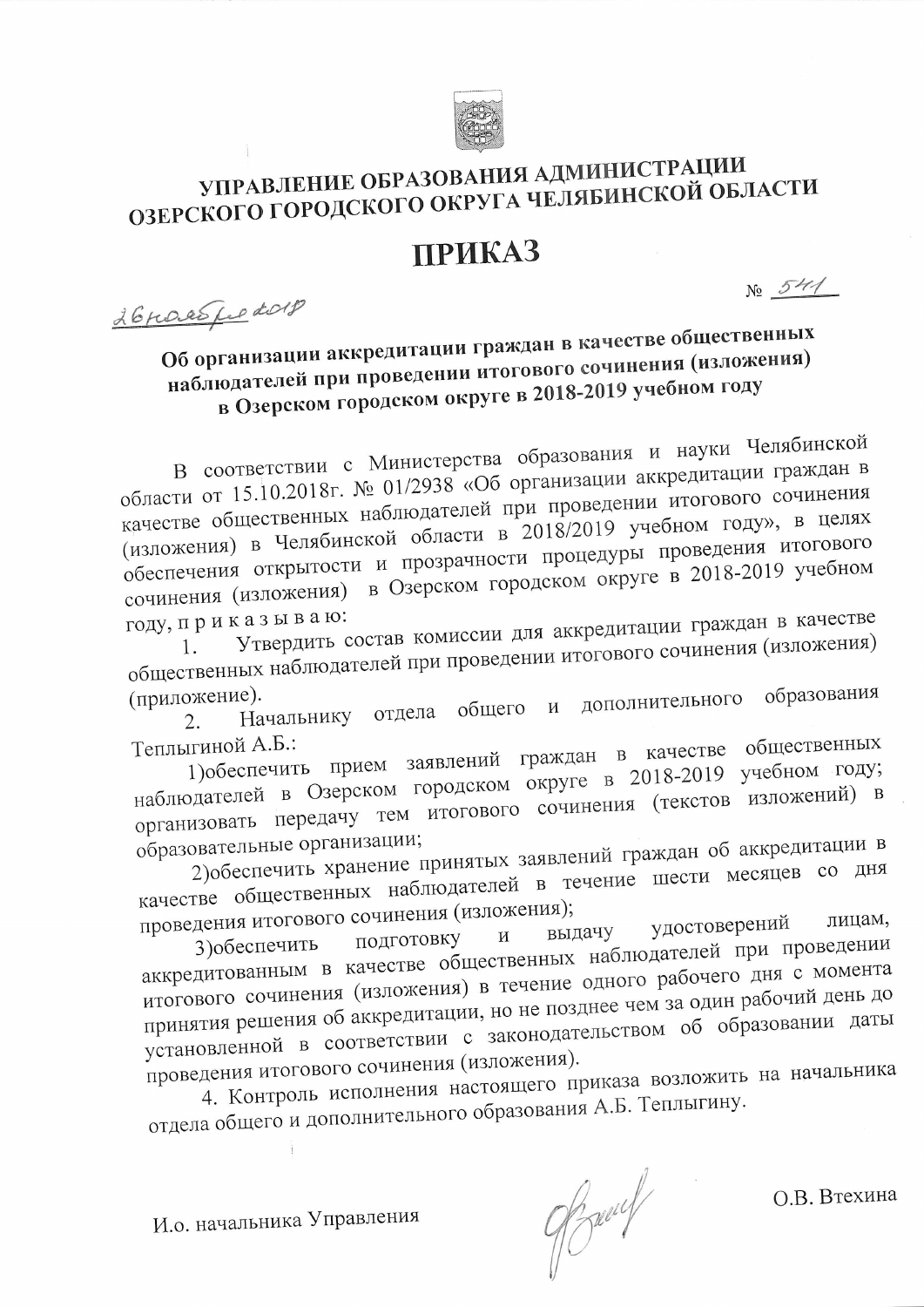

## УПРАВЛЕНИЕ ОБРАЗОВАНИЯ АДМИНИСТРАЦИИ ОЗЕРСКОГО ГОРОДСКОГО ОКРУГА ЧЕЛЯБИНСКОЙ ОБЛАСТИ

## **ПРИКАЗ**

26 roces fre dorp

 $N_2$  541

## Об организации аккредитации граждан в качестве общественных наблюдателей при проведении итогового сочинения (изложения) в Озерском городском округе в 2018-2019 учебном году

В соответствии с Министерства образования и науки Челябинской области от 15.10.2018г. № 01/2938 «Об организации аккредитации граждан в качестве общественных наблюдателей при проведении итогового сочинения (изложения) в Челябинской области в 2018/2019 учебном году», в целях обеспечения открытости и прозрачности процедуры проведения итогового сочинения (изложения) в Озерском городском округе в 2018-2019 учебном году, приказываю:

Утвердить состав комиссии для аккредитации граждан в качестве общественных наблюдателей при проведении итогового сочинения (изложения)

дополнительного образования (приложение). Начальнику отдела общего и 2.

1) обеспечить прием заявлений граждан в качестве общественных Теплыгиной А.Б.: наблюдателей в Озерском городском округе в 2018-2019 учебном году; организовать передачу тем итогового сочинения (текстов изложений) в образовательные организации;

2) обеспечить хранение принятых заявлений граждан об аккредитации в качестве общественных наблюдателей в течение шести месяцев со дня проведения итогового сочинения (изложения); лицам,

удостоверений выдачу подготовку  $\,$   $\,$   $\,$ аккредитованным в качестве общественных наблюдателей при проведении итогового сочинения (изложения) в течение одного рабочего дня с момента принятия решения об аккредитации, но не позднее чем за один рабочий день до установленной в соответствии с законодательством об образовании даты

проведения итогового сочинения (изложения). 4. Контроль исполнения настоящего приказа возложить на начальника отдела общего и дополнительного образования А.Б. Теплыгину.

 $\frac{1}{1}$ 

И.о. начальника Управления

9/3 march

О.В. Втехина